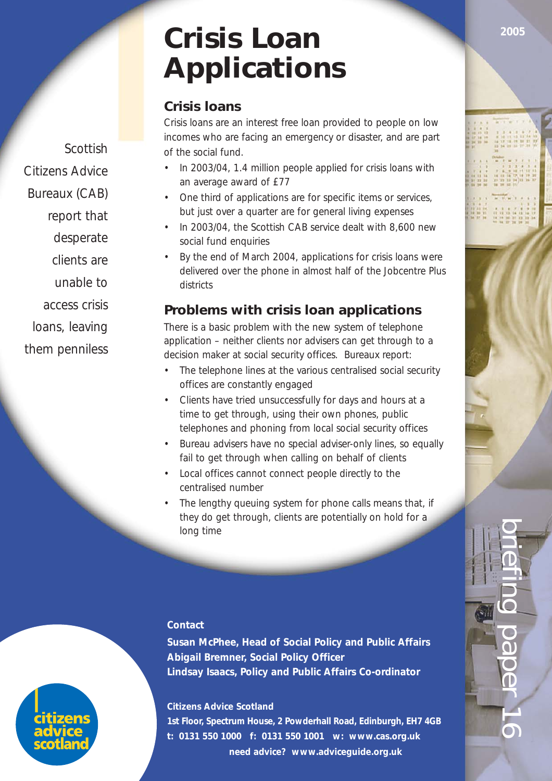# **Crisis Loan Applications**

# **Crisis loans**

Crisis loans are an interest free loan provided to people on low incomes who are facing an emergency or disaster, and are part of the social fund.

- In 2003/04, 1.4 million people applied for crisis loans with an average award of £77
- One third of applications are for specific items or services, but just over a quarter are for general living expenses
- In 2003/04, the Scottish CAB service dealt with 8,600 new social fund enquiries
- By the end of March 2004, applications for crisis loans were delivered over the phone in almost half of the Jobcentre Plus districts

# **Problems with crisis loan applications**

There is a basic problem with the new system of telephone application – neither clients nor advisers can get through to a decision maker at social security offices. Bureaux report:

- The telephone lines at the various centralised social security offices are constantly engaged
- Clients have tried unsuccessfully for days and hours at a time to get through, using their own phones, public telephones and phoning from local social security offices
- Bureau advisers have no special adviser-only lines, so equally fail to get through when calling on behalf of clients
- Local offices cannot connect people directly to the centralised number
- The lengthy queuing system for phone calls means that, if they do get through, clients are potentially on hold for a long time

#### **Contact**

**Susan McPhee, Head of Social Policy and Public Affairs Abigail Bremner, Social Policy Officer Lindsay Isaacs, Policy and Public Affairs Co-ordinator**

#### **Citizens Advice Scotland**

**1st Floor, Spectrum House, 2 Powderhall Road, Edinburgh, EH7 4GB t: 0131 550 1000 f: 0131 550 1001 w: www.cas.org.uk need advice? www.adviceguide.org.uk**

Scottish Citizens Advice Bureaux (CAB) report that desperate clients are unable to access crisis

loans, leaving

them penniless



briefing paper 16